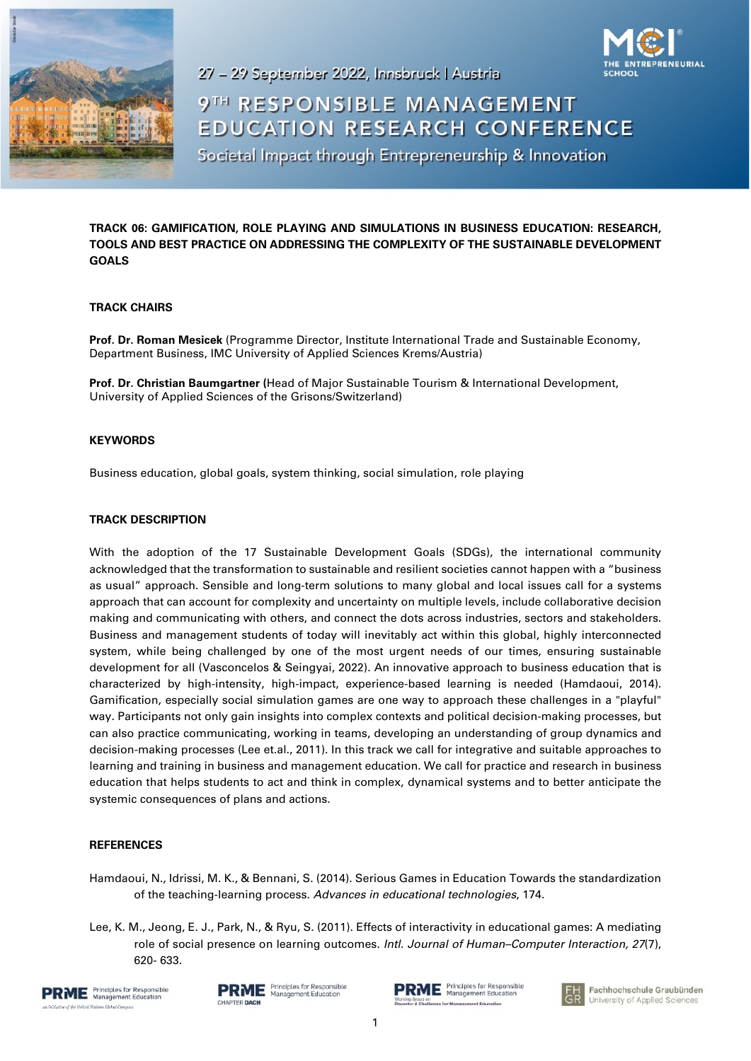



27 - 29 September 2022, Innsbruck | Austria

# 9TH RESPONSIBLE MANAGEMENT **EDUCATION RESEARCH CONFERENCE** Societal Impact through Entrepreneurship & Innovation

**TRACK 06: GAMIFICATION, ROLE PLAYING AND SIMULATIONS IN BUSINESS EDUCATION: RESEARCH, TOOLS AND BEST PRACTICE ON ADDRESSING THE COMPLEXITY OF THE SUSTAINABLE DEVELOPMENT GOALS**

## **TRACK CHAIRS**

**Prof. Dr. Roman Mesicek** (Programme Director, Institute International Trade and Sustainable Economy, Department Business, IMC University of Applied Sciences Krems/Austria)

**Prof. Dr. Christian Baumgartner (**Head of Major Sustainable Tourism & International Development, University of Applied Sciences of the Grisons/Switzerland)

## **KEYWORDS**

Business education, global goals, system thinking, social simulation, role playing

## **TRACK DESCRIPTION**

With the adoption of the 17 Sustainable Development Goals (SDGs), the international community acknowledged that the transformation to sustainable and resilient societies cannot happen with a "business as usual" approach. Sensible and long-term solutions to many global and local issues call for a systems approach that can account for complexity and uncertainty on multiple levels, include collaborative decision making and communicating with others, and connect the dots across industries, sectors and stakeholders. Business and management students of today will inevitably act within this global, highly interconnected system, while being challenged by one of the most urgent needs of our times, ensuring sustainable development for all (Vasconcelos & Seingyai, 2022). An innovative approach to business education that is characterized by high-intensity, high-impact, experience-based learning is needed (Hamdaoui, 2014). Gamification, especially social simulation games are one way to approach these challenges in a "playful" way. Participants not only gain insights into complex contexts and political decision-making processes, but can also practice communicating, working in teams, developing an understanding of group dynamics and decision-making processes (Lee et.al., 2011). In this track we call for integrative and suitable approaches to learning and training in business and management education. We call for practice and research in business education that helps students to act and think in complex, dynamical systems and to better anticipate the systemic consequences of plans and actions.

### **REFERENCES**

- Hamdaoui, N., Idrissi, M. K., & Bennani, S. (2014). Serious Games in Education Towards the standardization of the teaching-learning process. *Advances in educational technologies*, 174.
- Lee, K. M., Jeong, E. J., Park, N., & Ryu, S. (2011). Effects of interactivity in educational games: A mediating role of social presence on learning outcomes. *Intl. Journal of Human–Computer Interaction, 27*(7), 620- 633.